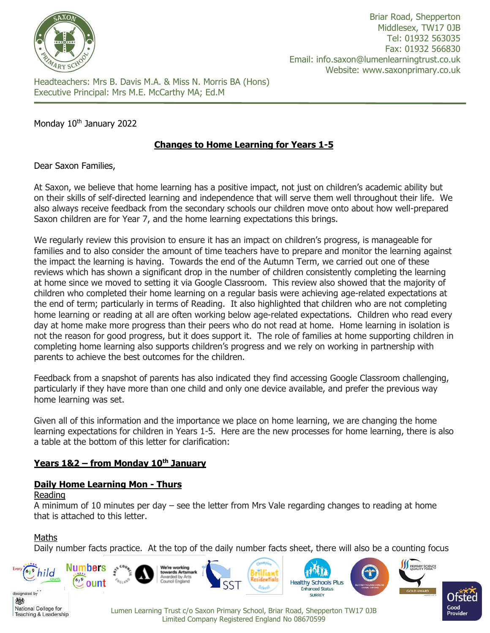

Headteachers: Mrs B. Davis M.A. & Miss N. Morris BA (Hons) Executive Principal: Mrs M.E. McCarthy MA; Ed.M

## Monday 10<sup>th</sup> January 2022

# **Changes to Home Learning for Years 1-5**

Dear Saxon Families,

At Saxon, we believe that home learning has a positive impact, not just on children's academic ability but on their skills of self-directed learning and independence that will serve them well throughout their life. We also always receive feedback from the secondary schools our children move onto about how well-prepared Saxon children are for Year 7, and the home learning expectations this brings.

We regularly review this provision to ensure it has an impact on children's progress, is manageable for families and to also consider the amount of time teachers have to prepare and monitor the learning against the impact the learning is having. Towards the end of the Autumn Term, we carried out one of these reviews which has shown a significant drop in the number of children consistently completing the learning at home since we moved to setting it via Google Classroom. This review also showed that the majority of children who completed their home learning on a regular basis were achieving age-related expectations at the end of term; particularly in terms of Reading. It also highlighted that children who are not completing home learning or reading at all are often working below age-related expectations. Children who read every day at home make more progress than their peers who do not read at home. Home learning in isolation is not the reason for good progress, but it does support it. The role of families at home supporting children in completing home learning also supports children's progress and we rely on working in partnership with parents to achieve the best outcomes for the children.

Feedback from a snapshot of parents has also indicated they find accessing Google Classroom challenging, particularly if they have more than one child and only one device available, and prefer the previous way home learning was set.

Given all of this information and the importance we place on home learning, we are changing the home learning expectations for children in Years 1-5. Here are the new processes for home learning, there is also a table at the bottom of this letter for clarification:

# **Years 1&2 – from Monday 10th January**

## **Daily Home Learning Mon - Thurs**

#### Reading

A minimum of 10 minutes per day – see the letter from Mrs Vale regarding changes to reading at home that is attached to this letter.

## Maths

Teaching & Leadership

Daily number facts practice. At the top of the daily number facts sheet, there will also be a counting focus



Lumen Learning Trust c/o Saxon Primary School, Briar Road, Shepperton TW17 0JB Limited Company Registered England No 08670599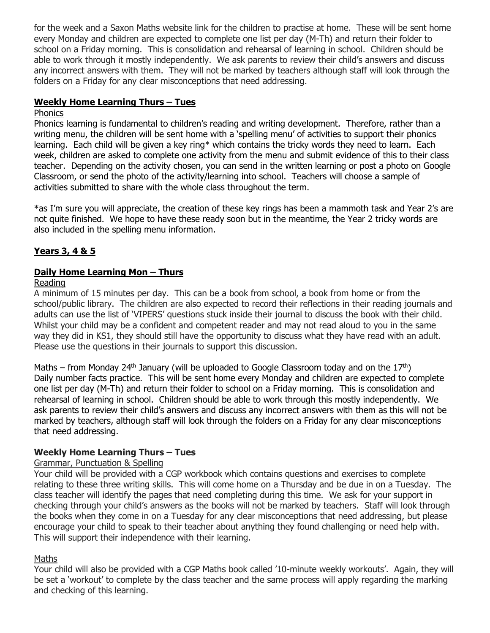for the week and a Saxon Maths website link for the children to practise at home. These will be sent home every Monday and children are expected to complete one list per day (M-Th) and return their folder to school on a Friday morning. This is consolidation and rehearsal of learning in school. Children should be able to work through it mostly independently. We ask parents to review their child's answers and discuss any incorrect answers with them. They will not be marked by teachers although staff will look through the folders on a Friday for any clear misconceptions that need addressing.

## **Weekly Home Learning Thurs – Tues**

#### **Phonics**

Phonics learning is fundamental to children's reading and writing development. Therefore, rather than a writing menu, the children will be sent home with a 'spelling menu' of activities to support their phonics learning. Each child will be given a key ring\* which contains the tricky words they need to learn. Each week, children are asked to complete one activity from the menu and submit evidence of this to their class teacher. Depending on the activity chosen, you can send in the written learning or post a photo on Google Classroom, or send the photo of the activity/learning into school. Teachers will choose a sample of activities submitted to share with the whole class throughout the term.

\*as I'm sure you will appreciate, the creation of these key rings has been a mammoth task and Year 2's are not quite finished. We hope to have these ready soon but in the meantime, the Year 2 tricky words are also included in the spelling menu information.

# **Years 3, 4 & 5**

## **Daily Home Learning Mon - Thurs**

### Reading

A minimum of 15 minutes per day. This can be a book from school, a book from home or from the school/public library. The children are also expected to record their reflections in their reading journals and adults can use the list of 'VIPERS' questions stuck inside their journal to discuss the book with their child. Whilst your child may be a confident and competent reader and may not read aloud to you in the same way they did in KS1, they should still have the opportunity to discuss what they have read with an adult. Please use the questions in their journals to support this discussion.

Maths – from Monday 24<sup>th</sup> January (will be uploaded to Google Classroom today and on the  $17<sup>th</sup>$ ) Daily number facts practice. This will be sent home every Monday and children are expected to complete one list per day (M-Th) and return their folder to school on a Friday morning. This is consolidation and rehearsal of learning in school. Children should be able to work through this mostly independently. We ask parents to review their child's answers and discuss any incorrect answers with them as this will not be marked by teachers, although staff will look through the folders on a Friday for any clear misconceptions that need addressing.

## **Weekly Home Learning Thurs – Tues**

## Grammar, Punctuation & Spelling

Your child will be provided with a CGP workbook which contains questions and exercises to complete relating to these three writing skills. This will come home on a Thursday and be due in on a Tuesday. The class teacher will identify the pages that need completing during this time. We ask for your support in checking through your child's answers as the books will not be marked by teachers. Staff will look through the books when they come in on a Tuesday for any clear misconceptions that need addressing, but please encourage your child to speak to their teacher about anything they found challenging or need help with. This will support their independence with their learning.

## Maths

Your child will also be provided with a CGP Maths book called '10-minute weekly workouts'. Again, they will be set a 'workout' to complete by the class teacher and the same process will apply regarding the marking and checking of this learning.